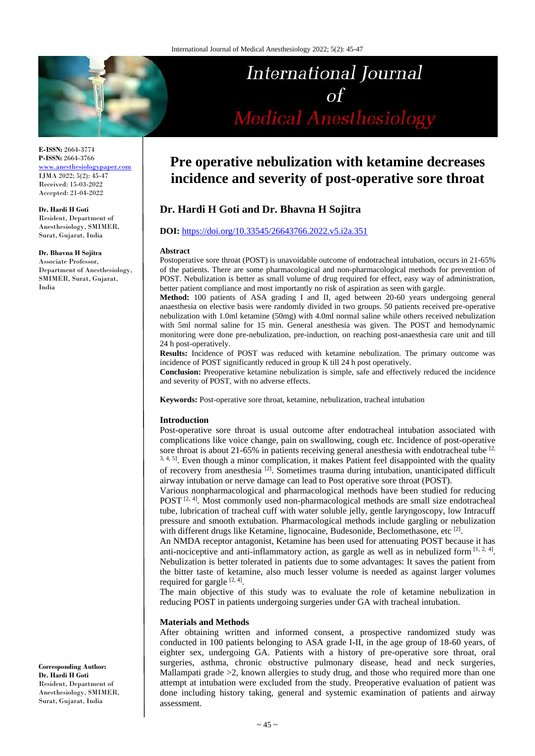

**E-ISSN:** 2664-3774 **P-ISSN:** 2664-3766 [www.anesthesiologypaper.com](http://www.anesthesiologypaper.com/) IJMA 2022; 5(2): 45-47 Received: 15-03-2022 Accepted: 21-04-2022

**Dr. Hardi H Goti**

Resident, Department of Anesthesiology, SMIMER, Surat, Gujarat, India

**Dr. Bhavna H Sojitra** 

Associate Professor, Department of Anesthesiology, SMIMER, Surat, Gujarat, India

**Corresponding Author: Dr. Hardi H Goti** Resident, Department of Anesthesiology, SMIMER, Surat, Gujarat, India

# International Journal  $\circ f$ **Medical Anesthesiology**

# **Pre operative nebulization with ketamine decreases incidence and severity of post-operative sore throat**

# **Dr. Hardi H Goti and Dr. Bhavna H Sojitra**

#### **DOI:** <https://doi.org/10.33545/26643766.2022.v5.i2a.351>

#### **Abstract**

Postoperative sore throat (POST) is unavoidable outcome of endotracheal intubation, occurs in 21-65% of the patients. There are some pharmacological and non-pharmacological methods for prevention of POST. Nebulization is better as small volume of drug required for effect, easy way of administration, better patient compliance and most importantly no risk of aspiration as seen with gargle.

**Method:** 100 patients of ASA grading I and II, aged between 20-60 years undergoing general anaesthesia on elective basis were randomly divided in two groups. 50 patients received pre-operative nebulization with 1.0ml ketamine (50mg) with 4.0ml normal saline while others received nebulization with 5ml normal saline for 15 min. General anesthesia was given. The POST and hemodynamic monitoring were done pre-nebulization, pre-induction, on reaching post-anaesthesia care unit and till 24 h post-operatively.

**Results:** Incidence of POST was reduced with ketamine nebulization. The primary outcome was incidence of POST significantly reduced in group K till 24 h post operatively.

**Conclusion:** Preoperative ketamine nebulization is simple, safe and effectively reduced the incidence and severity of POST, with no adverse effects.

**Keywords:** Post-operative sore throat, ketamine, nebulization, tracheal intubation

#### **Introduction**

Post-operative sore throat is usual outcome after endotracheal intubation associated with complications like voice change, pain on swallowing, cough etc. Incidence of post-operative sore throat is about 21-65% in patients receiving general anesthesia with endotracheal tube  $[2, 1]$ <sup>3, 4, 5</sup>. Even though a minor complication, it makes Patient feel disappointed with the quality of recovery from anesthesia<sup>[2]</sup>. Sometimes trauma during intubation, unanticipated difficult airway intubation or nerve damage can lead to Post operative sore throat (POST).

Various nonpharmacological and pharmacological methods have been studied for reducing POST  $[2, 4]$ . Most commonly used non-pharmacological methods are small size endotracheal tube, lubrication of tracheal cuff with water soluble jelly, gentle laryngoscopy, low Intracuff pressure and smooth extubation. Pharmacological methods include gargling or nebulization with different drugs like Ketamine, lignocaine, Budesonide, Beclomethasone, etc<sup>[2]</sup>.

An NMDA receptor antagonist, Ketamine has been used for attenuating POST because it has anti-nociceptive and anti-inflammatory action, as gargle as well as in nebulized form  $[1, 2, 4]$ . Nebulization is better tolerated in patients due to some advantages: It saves the patient from the bitter taste of ketamine, also much lesser volume is needed as against larger volumes required for gargle  $[2, 4]$ .

The main objective of this study was to evaluate the role of ketamine nebulization in reducing POST in patients undergoing surgeries under GA with tracheal intubation.

#### **Materials and Methods**

After obtaining written and informed consent, a prospective randomized study was conducted in 100 patients belonging to ASA grade I-II, in the age group of 18-60 years, of eighter sex, undergoing GA. Patients with a history of pre-operative sore throat, oral surgeries, asthma, chronic obstructive pulmonary disease, head and neck surgeries, Mallampati grade >2, known allergies to study drug, and those who required more than one attempt at intubation were excluded from the study. Preoperative evaluation of patient was done including history taking, general and systemic examination of patients and airway assessment.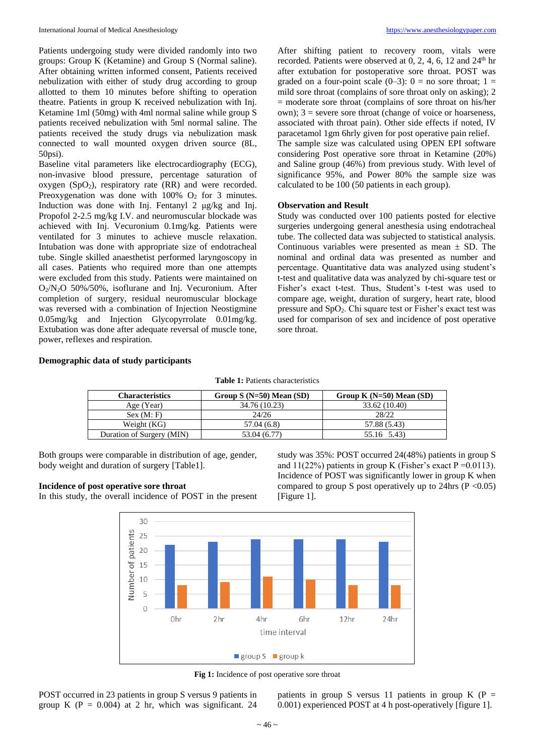Patients undergoing study were divided randomly into two groups: Group K (Ketamine) and Group S (Normal saline). After obtaining written informed consent, Patients received nebulization with either of study drug according to group allotted to them 10 minutes before shifting to operation theatre. Patients in group K received nebulization with Inj. Ketamine 1ml (50mg) with 4ml normal saline while group S patients received nebulization with 5ml normal saline. The patients received the study drugs via nebulization mask connected to wall mounted oxygen driven source (8L, 50psi).

Baseline vital parameters like electrocardiography (ECG), non-invasive blood pressure, percentage saturation of oxygen  $(SpO<sub>2</sub>)$ , respiratory rate  $(RR)$  and were recorded. Preoxygenation was done with  $100\%$  O<sub>2</sub> for 3 minutes. Induction was done with Inj. Fentanyl 2 μg/kg and Inj. Propofol 2-2.5 mg/kg I.V. and neuromuscular blockade was achieved with Inj. Vecuronium 0.1mg/kg. Patients were ventilated for 3 minutes to achieve muscle relaxation. Intubation was done with appropriate size of endotracheal tube. Single skilled anaesthetist performed laryngoscopy in all cases. Patients who required more than one attempts were excluded from this study. Patients were maintained on O2/N2O 50%/50%, isoflurane and Inj. Vecuronium. After completion of surgery, residual neuromuscular blockage was reversed with a combination of Injection Neostigmine 0.05mg/kg and Injection Glycopyrrolate 0.01mg/kg. Extubation was done after adequate reversal of muscle tone, power, reflexes and respiration.

After shifting patient to recovery room, vitals were recorded. Patients were observed at  $0, 2, 4, 6, 12$  and  $24<sup>th</sup>$  hr after extubation for postoperative sore throat. POST was graded on a four-point scale  $(0-3)$ :  $0 =$  no sore throat;  $1 =$ mild sore throat (complains of sore throat only on asking); 2 = moderate sore throat (complains of sore throat on his/her own); 3 = severe sore throat (change of voice or hoarseness, associated with throat pain). Other side effects if noted, IV paracetamol 1gm 6hrly given for post operative pain relief. The sample size was calculated using OPEN EPI software considering Post operative sore throat in Ketamine (20%) and Saline group (46%) from previous study. With level of significance 95%, and Power 80% the sample size was

calculated to be 100 (50 patients in each group).

#### **Observation and Result**

Study was conducted over 100 patients posted for elective surgeries undergoing general anesthesia using endotracheal tube. The collected data was subjected to statistical analysis. Continuous variables were presented as mean  $\pm$  SD. The nominal and ordinal data was presented as number and percentage. Quantitative data was analyzed using student's t-test and qualitative data was analyzed by chi-square test or Fisher's exact t-test. Thus, Student's t-test was used to compare age, weight, duration of surgery, heart rate, blood pressure and SpO2. Chi square test or Fisher's exact test was used for comparison of sex and incidence of post operative sore throat.

## **Demographic data of study participants**

**Table 1:** Patients characteristics

| Characteristics           | Group $S(N=50)$ Mean $(SD)$ | Group K $(N=50)$ Mean $(SD)$ |
|---------------------------|-----------------------------|------------------------------|
| Age (Year)                | 34.76 (10.23)               | 33.62 (10.40)                |
| Sex (M; F)                | 24/26                       | 28/22                        |
| Weight (KG)               | 57.04 (6.8)                 | 57.88 (5.43)                 |
| Duration of Surgery (MIN) | 53.04 (6.77)                | 55.16 5.43)                  |

Both groups were comparable in distribution of age, gender, body weight and duration of surgery [Table1].

#### **Incidence of post operative sore throat**

In this study, the overall incidence of POST in the present

study was 35%: POST occurred 24(48%) patients in group S and  $11(22%)$  patients in group K (Fisher's exact P = 0.0113). Incidence of POST was significantly lower in group K when compared to group S post operatively up to 24hrs ( $P < 0.05$ ) [Figure 1].



**Fig 1:** Incidence of post operative sore throat

POST occurred in 23 patients in group S versus 9 patients in group K ( $P = 0.004$ ) at 2 hr, which was significant. 24

patients in group S versus 11 patients in group K ( $P =$ 0.001) experienced POST at 4 h post-operatively [figure 1].